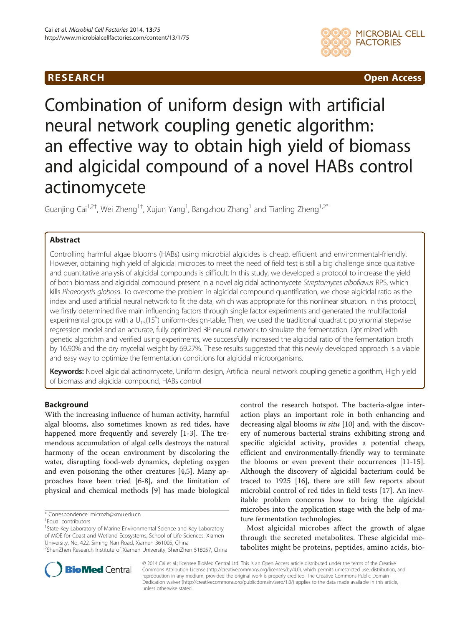# **RESEARCH RESEARCH CONSUMING ACCESS**



# Combination of uniform design with artificial neural network coupling genetic algorithm: an effective way to obtain high yield of biomass and algicidal compound of a novel HABs control actinomycete

Guanjing Cai<sup>1,2†</sup>, Wei Zheng<sup>1†</sup>, Xujun Yang<sup>1</sup>, Bangzhou Zhang<sup>1</sup> and Tianling Zheng<sup>1,2\*</sup>

# Abstract

Controlling harmful algae blooms (HABs) using microbial algicides is cheap, efficient and environmental-friendly. However, obtaining high yield of algicidal microbes to meet the need of field test is still a big challenge since qualitative and quantitative analysis of algicidal compounds is difficult. In this study, we developed a protocol to increase the yield of both biomass and algicidal compound present in a novel algicidal actinomycete Streptomyces alboflavus RPS, which kills Phaeocystis globosa. To overcome the problem in algicidal compound quantification, we chose algicidal ratio as the index and used artificial neural network to fit the data, which was appropriate for this nonlinear situation. In this protocol, we firstly determined five main influencing factors through single factor experiments and generated the multifactorial experimental groups with a  $U_{15}(15^5)$  uniform-design-table. Then, we used the traditional quadratic polynomial stepwise regression model and an accurate, fully optimized BP-neural network to simulate the fermentation. Optimized with genetic algorithm and verified using experiments, we successfully increased the algicidal ratio of the fermentation broth by 16.90% and the dry mycelial weight by 69.27%. These results suggested that this newly developed approach is a viable and easy way to optimize the fermentation conditions for algicidal microorganisms.

Keywords: Novel algicidal actinomycete, Uniform design, Artificial neural network coupling genetic algorithm, High yield of biomass and algicidal compound, HABs control

# Background

With the increasing influence of human activity, harmful algal blooms, also sometimes known as red tides, have happened more frequently and severely [[1-3](#page-8-0)]. The tremendous accumulation of algal cells destroys the natural harmony of the ocean environment by discoloring the water, disrupting food-web dynamics, depleting oxygen and even poisoning the other creatures [[4,5\]](#page-8-0). Many approaches have been tried [[6-8](#page-8-0)], and the limitation of physical and chemical methods [\[9](#page-8-0)] has made biological

control the research hotspot. The bacteria-algae interaction plays an important role in both enhancing and decreasing algal blooms in situ [[10\]](#page-8-0) and, with the discovery of numerous bacterial strains exhibiting strong and specific algicidal activity, provides a potential cheap, efficient and environmentally-friendly way to terminate the blooms or even prevent their occurrences [\[11-15](#page-8-0)]. Although the discovery of algicidal bacterium could be traced to 1925 [\[16\]](#page-8-0), there are still few reports about microbial control of red tides in field tests [\[17](#page-8-0)]. An inevitable problem concerns how to bring the algicidal microbes into the application stage with the help of mature fermentation technologies.

Most algicidal microbes affect the growth of algae through the secreted metabolites. These algicidal metabolites might be proteins, peptides, amino acids, bio-



© 2014 Cai et al.; licensee BioMed Central Ltd. This is an Open Access article distributed under the terms of the Creative Commons Attribution License [\(http://creativecommons.org/licenses/by/4.0\)](http://creativecommons.org/licenses/by/4.0), which permits unrestricted use, distribution, and reproduction in any medium, provided the original work is properly credited. The Creative Commons Public Domain Dedication waiver [\(http://creativecommons.org/publicdomain/zero/1.0/](http://creativecommons.org/publicdomain/zero/1.0/)) applies to the data made available in this article, unless otherwise stated.

<sup>\*</sup> Correspondence: [microzh@xmu.edu.cn](mailto:microzh@xmu.edu.cn) †

Equal contributors

<sup>&</sup>lt;sup>1</sup>State Key Laboratory of Marine Environmental Science and Key Laboratory of MOE for Coast and Wetland Ecosystems, School of Life Sciences, Xiamen University, No. 422, Siming Nan Road, Xiamen 361005, China <sup>2</sup>ShenZhen Research Institute of Xiamen University, ShenZhen 518057, China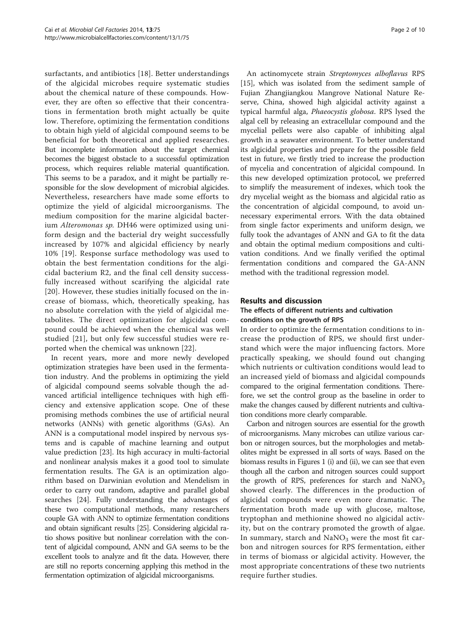surfactants, and antibiotics [[18](#page-8-0)]. Better understandings of the algicidal microbes require systematic studies about the chemical nature of these compounds. However, they are often so effective that their concentrations in fermentation broth might actually be quite low. Therefore, optimizing the fermentation conditions to obtain high yield of algicidal compound seems to be beneficial for both theoretical and applied researches. But incomplete information about the target chemical becomes the biggest obstacle to a successful optimization process, which requires reliable material quantification. This seems to be a paradox, and it might be partially responsible for the slow development of microbial algicides. Nevertheless, researchers have made some efforts to optimize the yield of algicidal microorganisms. The medium composition for the marine algicidal bacterium Alteromonas sp. DH46 were optimized using uniform design and the bacterial dry weight successfully increased by 107% and algicidal efficiency by nearly 10% [\[19\]](#page-8-0). Response surface methodology was used to obtain the best fermentation conditions for the algicidal bacterium R2, and the final cell density successfully increased without scarifying the algicidal rate [[20](#page-8-0)]. However, these studies initially focused on the increase of biomass, which, theoretically speaking, has no absolute correlation with the yield of algicidal metabolites. The direct optimization for algicidal compound could be achieved when the chemical was well studied [[21](#page-8-0)], but only few successful studies were reported when the chemical was unknown [\[22\]](#page-8-0).

In recent years, more and more newly developed optimization strategies have been used in the fermentation industry. And the problems in optimizing the yield of algicidal compound seems solvable though the advanced artificial intelligence techniques with high efficiency and extensive application scope. One of these promising methods combines the use of artificial neural networks (ANNs) with genetic algorithms (GAs). An ANN is a computational model inspired by nervous systems and is capable of machine learning and output value prediction [\[23\]](#page-8-0). Its high accuracy in multi-factorial and nonlinear analysis makes it a good tool to simulate fermentation results. The GA is an optimization algorithm based on Darwinian evolution and Mendelism in order to carry out random, adaptive and parallel global searches [\[24](#page-8-0)]. Fully understanding the advantages of these two computational methods, many researchers couple GA with ANN to optimize fermentation conditions and obtain significant results [\[25\]](#page-8-0). Considering algicidal ratio shows positive but nonlinear correlation with the content of algicidal compound, ANN and GA seems to be the excellent tools to analyze and fit the data. However, there are still no reports concerning applying this method in the fermentation optimization of algicidal microorganisms.

An actinomycete strain Streptomyces alboflavus RPS [[15\]](#page-8-0), which was isolated from the sediment sample of Fujian Zhangjiangkou Mangrove National Nature Reserve, China, showed high algicidal activity against a typical harmful alga, Phaeocystis globosa. RPS lysed the algal cell by releasing an extracellular compound and the mycelial pellets were also capable of inhibiting algal growth in a seawater environment. To better understand its algicidal properties and prepare for the possible field test in future, we firstly tried to increase the production of mycelia and concentration of algicidal compound. In this new developed optimization protocol, we preferred to simplify the measurement of indexes, which took the dry mycelial weight as the biomass and algicidal ratio as the concentration of algicidal compound, to avoid unnecessary experimental errors. With the data obtained from single factor experiments and uniform design, we fully took the advantages of ANN and GA to fit the data and obtain the optimal medium compositions and cultivation conditions. And we finally verified the optimal fermentation conditions and compared the GA-ANN method with the traditional regression model.

## Results and discussion

## The effects of different nutrients and cultivation conditions on the growth of RPS

In order to optimize the fermentation conditions to increase the production of RPS, we should first understand which were the major influencing factors. More practically speaking, we should found out changing which nutrients or cultivation conditions would lead to an increased yield of biomass and algicidal compounds compared to the original fermentation conditions. Therefore, we set the control group as the baseline in order to make the changes caused by different nutrients and cultivation conditions more clearly comparable.

Carbon and nitrogen sources are essential for the growth of microorganisms. Many microbes can utilize various carbon or nitrogen sources, but the morphologies and metabolites might be expressed in all sorts of ways. Based on the biomass results in Figures [1](#page-2-0) (i) and (ii), we can see that even though all the carbon and nitrogen sources could support the growth of RPS, preferences for starch and  $NaNO<sub>3</sub>$ showed clearly. The differences in the production of algicidal compounds were even more dramatic. The fermentation broth made up with glucose, maltose, tryptophan and methionine showed no algicidal activity, but on the contrary promoted the growth of algae. In summary, starch and  $NaNO<sub>3</sub>$  were the most fit carbon and nitrogen sources for RPS fermentation, either in terms of biomass or algicidal activity. However, the most appropriate concentrations of these two nutrients require further studies.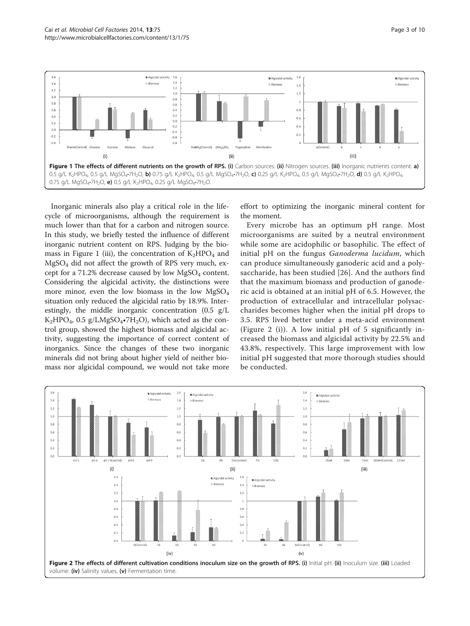<span id="page-2-0"></span>

Inorganic minerals also play a critical role in the lifecycle of microorganisms, although the requirement is much lower than that for a carbon and nitrogen source. In this study, we briefly tested the influence of different inorganic nutrient content on RPS. Judging by the biomass in Figure 1 (iii), the concentration of  $K_2HPO_4$  and  $MgSO<sub>4</sub>$  did not affect the growth of RPS very much, except for a 71.2% decrease caused by low  $MgSO<sub>4</sub>$  content. Considering the algicidal activity, the distinctions were more minor, even the low biomass in the low  $MgSO<sub>4</sub>$ situation only reduced the algicidal ratio by 18.9%. Interestingly, the middle inorganic concentration (0.5 g/L  $K_2HPO_4$ , 0.5 g/LMgSO<sub>4</sub>•7H<sub>2</sub>O), which acted as the control group, showed the highest biomass and algicidal activity, suggesting the importance of correct content of inorganics. Since the changes of these two inorganic minerals did not bring about higher yield of neither biomass nor algicidal compound, we would not take more

effort to optimizing the inorganic mineral content for the moment.

Every microbe has an optimum pH range. Most microorganisms are suited by a neutral environment while some are acidophilic or basophilic. The effect of initial pH on the fungus Ganoderma lucidum, which can produce simultaneously ganoderic acid and a polysaccharide, has been studied [\[26](#page-8-0)]. And the authors find that the maximum biomass and production of ganoderic acid is obtained at an initial pH of 6.5. However, the production of extracellular and intracellular polysaccharides becomes higher when the initial pH drops to 3.5. RPS lived better under a meta-acid environment (Figure 2 (i)). A low initial pH of 5 significantly increased the biomass and algicidal activity by 22.5% and 43.8%, respectively. This large improvement with low initial pH suggested that more thorough studies should be conducted.

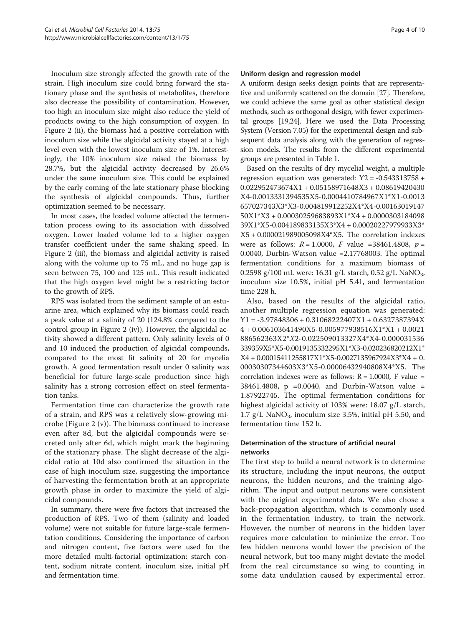Inoculum size strongly affected the growth rate of the strain. High inoculum size could bring forward the stationary phase and the synthesis of metabolites, therefore also decrease the possibility of contamination. However, too high an inoculum size might also reduce the yield of products owing to the high consumption of oxygen. In Figure [2](#page-2-0) (ii), the biomass had a positive correlation with inoculum size while the algicidal activity stayed at a high level even with the lowest inoculum size of 1%. Interestingly, the 10% inoculum size raised the biomass by 28.7%, but the algicidal activity decreased by 26.6% under the same inoculum size. This could be explained by the early coming of the late stationary phase blocking the synthesis of algicidal compounds. Thus, further optimization seemed to be necessary.

In most cases, the loaded volume affected the fermentation process owing to its association with dissolved oxygen. Lower loaded volume led to a higher oxygen transfer coefficient under the same shaking speed. In Figure [2](#page-2-0) (iii), the biomass and algicidal activity is raised along with the volume up to 75 mL, and no huge gap is seen between 75, 100 and 125 mL. This result indicated that the high oxygen level might be a restricting factor to the growth of RPS.

RPS was isolated from the sediment sample of an estuarine area, which explained why its biomass could reach a peak value at a salinity of 20 (124.8% compared to the control group in Figure [2](#page-2-0) (iv)). However, the algicidal activity showed a different pattern. Only salinity levels of 0 and 10 induced the production of algicidal compounds, compared to the most fit salinity of 20 for mycelia growth. A good fermentation result under 0 salinity was beneficial for future large-scale production since high salinity has a strong corrosion effect on steel fermentation tanks.

Fermentation time can characterize the growth rate of a strain, and RPS was a relatively slow-growing microbe (Figure [2](#page-2-0) (v)). The biomass continued to increase even after 8d, but the algicidal compounds were secreted only after 6d, which might mark the beginning of the stationary phase. The slight decrease of the algicidal ratio at 10d also confirmed the situation in the case of high inoculum size, suggesting the importance of harvesting the fermentation broth at an appropriate growth phase in order to maximize the yield of algicidal compounds.

In summary, there were five factors that increased the production of RPS. Two of them (salinity and loaded volume) were not suitable for future large-scale fermentation conditions. Considering the importance of carbon and nitrogen content, five factors were used for the more detailed multi-factorial optimization: starch content, sodium nitrate content, inoculum size, initial pH and fermentation time.

## Uniform design and regression model

A uniform design seeks design points that are representative and uniformly scattered on the domain [[27](#page-9-0)]. Therefore, we could achieve the same goal as other statistical design methods, such as orthogonal design, with fewer experimental groups [\[19,24\]](#page-8-0). Here we used the Data Processing System (Version 7.05) for the experimental design and subsequent data analysis along with the generation of regression models. The results from the different experimental groups are presented in Table [1.](#page-4-0)

Based on the results of dry mycelial weight, a multiple regression equation was generated:  $Y2 = -0.543313758 +$ 0.022952473674X1 + 0.05158971648X3 + 0.08619420430 X4-0.0013331394535X5-0.0004410784967X1\*X1-0.0013 657027343X3\*X3-0.004819912252X4\*X4-0.00163019147 50X1\*X3 + 0.00030259683893X1\*X4 + 0.0000303184098 39X1\*X5-0.004189833135X3\*X4 + 0.00020227979933X3\* X5 + 0.000021989005098X4\*X5. The correlation indexes were as follows:  $R = 1.0000$ ,  $F$  value =38461.4808,  $p =$ 0.0040, Durbin-Watson value =2.17768003. The optimal fermentation conditions for a maximum biomass of 0.2598 g/100 mL were: 16.31 g/L starch, 0.52 g/L NaNO<sub>3</sub>, inoculum size 10.5%, initial pH 5.41, and fermentation time 228 h.

Also, based on the results of the algicidal ratio, another multiple regression equation was generated: Y1 = -3.97848306 + 0.31068222407X1 + 0.6327387394X 4 + 0.006103641490X5-0.005977938516X1\*X1 + 0.0021 886562363X2\*X2-0.022509013327X4\*X4-0.000031536 339359X5\*X5-0.0019135332295X1\*X3-0.020236820212X1\* X4 + 0.00015411255817X1\*X5-0.0027135967924X3\*X4 + 0. 00030307344603X3\*X5-0.00006432940808X4\*X5. The correlation indexes were as follows:  $R = 1.0000$ , F value = 38461.4808, p =0.0040, and Durbin-Watson value = 1.87922745. The optimal fermentation conditions for highest algicidal activity of 103% were: 18.07 g/L starch, 1.7 g/L NaNO<sub>3</sub>, inoculum size 3.5%, initial pH 5.50, and fermentation time 152 h.

# Determination of the structure of artificial neural networks

The first step to build a neural network is to determine its structure, including the input neurons, the output neurons, the hidden neurons, and the training algorithm. The input and output neurons were consistent with the original experimental data. We also chose a back-propagation algorithm, which is commonly used in the fermentation industry, to train the network. However, the number of neurons in the hidden layer requires more calculation to minimize the error. Too few hidden neurons would lower the precision of the neural network, but too many might deviate the model from the real circumstance so wing to counting in some data undulation caused by experimental error.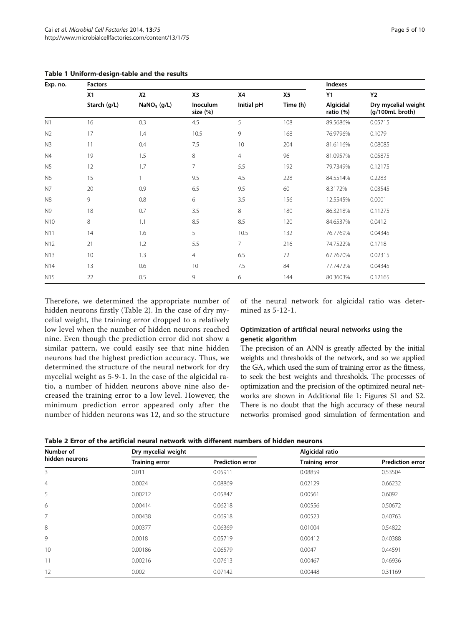| Exp. no.        | <b>Factors</b> |                         |                         |                |                | Indexes                |                                        |
|-----------------|----------------|-------------------------|-------------------------|----------------|----------------|------------------------|----------------------------------------|
|                 | <b>X1</b>      | <b>X2</b>               | X3                      | <b>X4</b>      | X <sub>5</sub> | <b>Y1</b>              | <b>Y2</b>                              |
|                 | Starch (g/L)   | NaNO <sub>3</sub> (g/L) | Inoculum<br>size $(\%)$ | Initial pH     | Time (h)       | Algicidal<br>ratio (%) | Dry mycelial weight<br>(g/100mL broth) |
| N1              | 16             | 0.3                     | 4.5                     | 5              | 108            | 89.5686%               | 0.05715                                |
| N <sub>2</sub>  | 17             | 1.4                     | 10.5                    | 9              | 168            | 76.9796%               | 0.1079                                 |
| N3              | 11             | 0.4                     | 7.5                     | 10             | 204            | 81.6116%               | 0.08085                                |
| N4              | 19             | 1.5                     | 8                       | $\overline{4}$ | 96             | 81.0957%               | 0.05875                                |
| N <sub>5</sub>  | 12             | 1.7                     | $\overline{7}$          | 5.5            | 192            | 79.7349%               | 0.12175                                |
| N6              | 15             | $\mathbf{1}$            | 9.5                     | 4.5            | 228            | 84.5514%               | 0.2283                                 |
| N7              | 20             | 0.9                     | 6.5                     | 9.5            | 60             | 8.3172%                | 0.03545                                |
| N <sub>8</sub>  | 9              | 0.8                     | 6                       | 3.5            | 156            | 12.5545%               | 0.0001                                 |
| N <sub>9</sub>  | 18             | 0.7                     | 3.5                     | 8              | 180            | 86.3218%               | 0.11275                                |
| N <sub>10</sub> | 8              | 1.1                     | 8.5                     | 8.5            | 120            | 84.6537%               | 0.0412                                 |
| N11             | 14             | 1.6                     | 5                       | 10.5           | 132            | 76.7769%               | 0.04345                                |
| N12             | 21             | 1.2                     | 5.5                     | $\overline{7}$ | 216            | 74.7522%               | 0.1718                                 |
| N13             | 10             | 1.3                     | $\overline{4}$          | 6.5            | 72             | 67.7670%               | 0.02315                                |
| N <sub>14</sub> | 13             | 0.6                     | 10                      | 7.5            | 84             | 77.7472%               | 0.04345                                |
| N <sub>15</sub> | 22             | 0.5                     | 9                       | 6              | 144            | 80.3603%               | 0.12165                                |

<span id="page-4-0"></span>Table 1 Uniform-design-table and the results

Therefore, we determined the appropriate number of hidden neurons firstly (Table 2). In the case of dry mycelial weight, the training error dropped to a relatively low level when the number of hidden neurons reached nine. Even though the prediction error did not show a similar pattern, we could easily see that nine hidden neurons had the highest prediction accuracy. Thus, we determined the structure of the neural network for dry mycelial weight as 5-9-1. In the case of the algicidal ratio, a number of hidden neurons above nine also decreased the training error to a low level. However, the minimum prediction error appeared only after the number of hidden neurons was 12, and so the structure

of the neural network for algicidal ratio was determined as 5-12-1.

# Optimization of artificial neural networks using the genetic algorithm

The precision of an ANN is greatly affected by the initial weights and thresholds of the network, and so we applied the GA, which used the sum of training error as the fitness, to seek the best weights and thresholds. The processes of optimization and the precision of the optimized neural networks are shown in Additional file [1:](#page-8-0) Figures S1 and S2. There is no doubt that the high accuracy of these neural networks promised good simulation of fermentation and

| Table 2 Error of the artificial neural network with different numbers of hidden neurons |
|-----------------------------------------------------------------------------------------|
|-----------------------------------------------------------------------------------------|

| Number of      | Dry mycelial weight   |                         | Algicidal ratio       |                         |
|----------------|-----------------------|-------------------------|-----------------------|-------------------------|
| hidden neurons | <b>Training error</b> | <b>Prediction error</b> | <b>Training error</b> | <b>Prediction error</b> |
| 3              | 0.011                 | 0.05911                 | 0.08859               | 0.53504                 |
| $\overline{4}$ | 0.0024                | 0.08869                 | 0.02129               | 0.66232                 |
| 5              | 0.00212               | 0.05847                 | 0.00561               | 0.6092                  |
| 6              | 0.00414               | 0.06218                 | 0.00556               | 0.50672                 |
| $\overline{7}$ | 0.00438               | 0.06918                 | 0.00523               | 0.40763                 |
| 8              | 0.00377               | 0.06369                 | 0.01004               | 0.54822                 |
| 9              | 0.0018                | 0.05719                 | 0.00412               | 0.40388                 |
| 10             | 0.00186               | 0.06579                 | 0.0047                | 0.44591                 |
| 11             | 0.00216               | 0.07613                 | 0.00467               | 0.46936                 |
| 12             | 0.002                 | 0.07142                 | 0.00448               | 0.31169                 |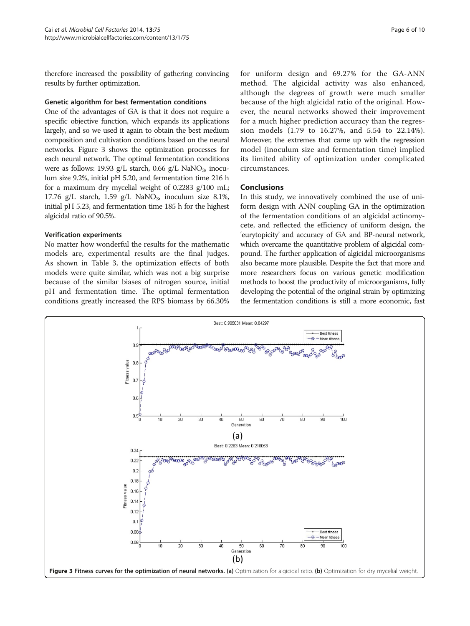therefore increased the possibility of gathering convincing results by further optimization.

#### Genetic algorithm for best fermentation conditions

One of the advantages of GA is that it does not require a specific objective function, which expands its applications largely, and so we used it again to obtain the best medium composition and cultivation conditions based on the neural networks. Figure 3 shows the optimization processes for each neural network. The optimal fermentation conditions were as follows: 19.93 g/L starch, 0.66 g/L NaNO<sub>3</sub>, inoculum size 9.2%, initial pH 5.20, and fermentation time 216 h for a maximum dry mycelial weight of 0.2283 g/100 mL; 17.76 g/L starch, 1.59 g/L NaNO<sub>3</sub>, inoculum size 8.1%, initial pH 5.23, and fermentation time 185 h for the highest algicidal ratio of 90.5%.

#### Verification experiments

No matter how wonderful the results for the mathematic models are, experimental results are the final judges. As shown in Table [3](#page-6-0), the optimization effects of both models were quite similar, which was not a big surprise because of the similar biases of nitrogen source, initial pH and fermentation time. The optimal fermentation conditions greatly increased the RPS biomass by 66.30% for uniform design and 69.27% for the GA-ANN method. The algicidal activity was also enhanced, although the degrees of growth were much smaller because of the high algicidal ratio of the original. However, the neural networks showed their improvement for a much higher prediction accuracy than the regression models (1.79 to 16.27%, and 5.54 to 22.14%). Moreover, the extremes that came up with the regression model (inoculum size and fermentation time) implied its limited ability of optimization under complicated circumstances.

## Conclusions

In this study, we innovatively combined the use of uniform design with ANN coupling GA in the optimization of the fermentation conditions of an algicidal actinomycete, and reflected the efficiency of uniform design, the 'eurytopicity' and accuracy of GA and BP-neural network, which overcame the quantitative problem of algicidal compound. The further application of algicidal microorganisms also became more plausible. Despite the fact that more and more researchers focus on various genetic modification methods to boost the productivity of microorganisms, fully developing the potential of the original strain by optimizing the fermentation conditions is still a more economic, fast

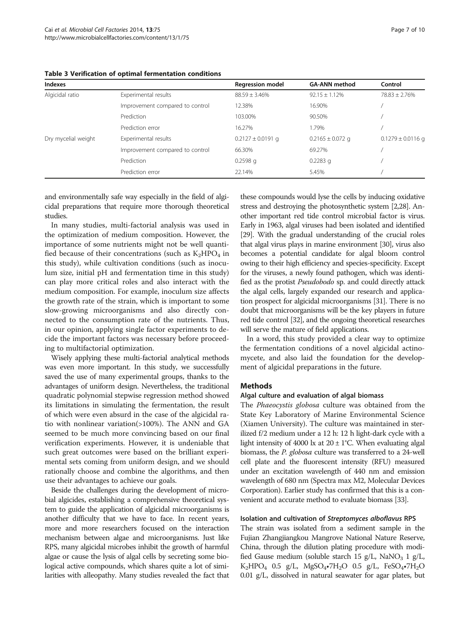| <b>Indexes</b>      |                                 | <b>Regression model</b> | <b>GA-ANN method</b> | Control               |
|---------------------|---------------------------------|-------------------------|----------------------|-----------------------|
| Algicidal ratio     | Experimental results            | $88.59 + 3.46\%$        | $92.15 + 1.12\%$     | 78.83 ± 2.76%         |
|                     | Improvement compared to control | 12.38%                  | 16.90%               |                       |
|                     | Prediction                      | 103.00%                 | 90.50%               |                       |
|                     | Prediction error                | 16.27%                  | 1.79%                |                       |
| Dry mycelial weight | Experimental results            | $0.2127 \pm 0.0191$ q   | $0.2165 \pm 0.072$ q | $0.1279 \pm 0.0116$ g |
|                     | Improvement compared to control | 66.30%                  | 69.27%               |                       |
|                     | Prediction                      | $0.2598$ q              | $0.2283$ q           |                       |
|                     | Prediction error                | 22.14%                  | 5.45%                |                       |

<span id="page-6-0"></span>Table 3 Verification of optimal fermentation conditions

and environmentally safe way especially in the field of algicidal preparations that require more thorough theoretical studies.

In many studies, multi-factorial analysis was used in the optimization of medium composition. However, the importance of some nutrients might not be well quantified because of their concentrations (such as  $K_2HPO_4$  in this study), while cultivation conditions (such as inoculum size, initial pH and fermentation time in this study) can play more critical roles and also interact with the medium composition. For example, inoculum size affects the growth rate of the strain, which is important to some slow-growing microorganisms and also directly connected to the consumption rate of the nutrients. Thus, in our opinion, applying single factor experiments to decide the important factors was necessary before proceeding to multifactorial optimization.

Wisely applying these multi-factorial analytical methods was even more important. In this study, we successfully saved the use of many experimental groups, thanks to the advantages of uniform design. Nevertheless, the traditional quadratic polynomial stepwise regression method showed its limitations in simulating the fermentation, the result of which were even absurd in the case of the algicidal ratio with nonlinear variation(>100%). The ANN and GA seemed to be much more convincing based on our final verification experiments. However, it is undeniable that such great outcomes were based on the brilliant experimental sets coming from uniform design, and we should rationally choose and combine the algorithms, and then use their advantages to achieve our goals.

Beside the challenges during the development of microbial algicides, establishing a comprehensive theoretical system to guide the application of algicidal microorganisms is another difficulty that we have to face. In recent years, more and more researchers focused on the interaction mechanism between algae and microorganisms. Just like RPS, many algicidal microbes inhibit the growth of harmful algae or cause the lysis of algal cells by secreting some biological active compounds, which shares quite a lot of similarities with alleopathy. Many studies revealed the fact that

these compounds would lyse the cells by inducing oxidative stress and destroying the photosynthetic system [\[2,](#page-8-0)[28](#page-9-0)]. Another important red tide control microbial factor is virus. Early in 1963, algal viruses had been isolated and identified [[29](#page-9-0)]. With the gradual understanding of the crucial roles that algal virus plays in marine environment [\[30\]](#page-9-0), virus also becomes a potential candidate for algal bloom control owing to their high efficiency and species-specificity. Except for the viruses, a newly found pathogen, which was identified as the protist Pseudobodo sp. and could directly attack the algal cells, largely expanded our research and application prospect for algicidal microorganisms [\[31\]](#page-9-0). There is no doubt that microorganisms will be the key players in future red tide control [\[32\]](#page-9-0), and the ongoing theoretical researches will serve the mature of field applications.

In a word, this study provided a clear way to optimize the fermentation conditions of a novel algicidal actinomycete, and also laid the foundation for the development of algicidal preparations in the future.

#### **Methods**

#### Algal culture and evaluation of algal biomass

The Phaeocystis globosa culture was obtained from the State Key Laboratory of Marine Environmental Science (Xiamen University). The culture was maintained in sterilized f/2 medium under a 12 h: 12 h light-dark cycle with a light intensity of 4000 lx at  $20 \pm 1^{\circ}$ C. When evaluating algal biomass, the *P. globosa* culture was transferred to a 24-well cell plate and the fluorescent intensity (RFU) measured under an excitation wavelength of 440 nm and emission wavelength of 680 nm (Spectra max M2, Molecular Devices Corporation). Earlier study has confirmed that this is a convenient and accurate method to evaluate biomass [\[33\]](#page-9-0).

#### Isolation and cultivation of Streptomyces alboflavus RPS

The strain was isolated from a sediment sample in the Fujian Zhangjiangkou Mangrove National Nature Reserve, China, through the dilution plating procedure with modified Gause medium (soluble starch 15 g/L, NaNO<sub>3</sub> 1 g/L,  $K_2HPO_4$  0.5 g/L,  $MgSO_4\bullet 7H_2O$  0.5 g/L,  $FeSO_4\bullet 7H_2O$ 0.01 g/L, dissolved in natural seawater for agar plates, but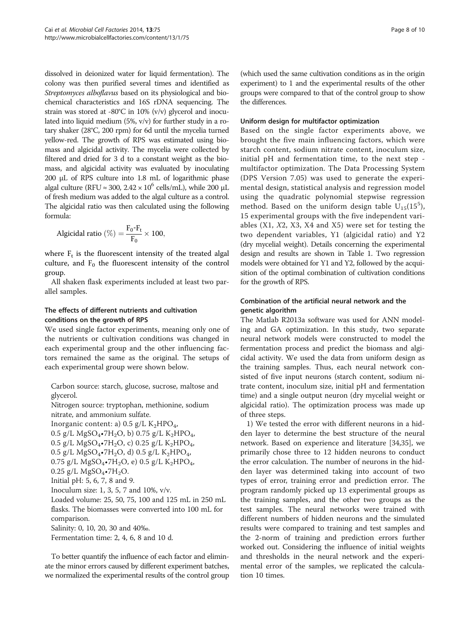dissolved in deionized water for liquid fermentation). The colony was then purified several times and identified as Streptomyces alboflavus based on its physiological and biochemical characteristics and 16S rDNA sequencing. The strain was stored at -80°C in 10% (v/v) glycerol and inoculated into liquid medium (5%, v/v) for further study in a rotary shaker (28°C, 200 rpm) for 6d until the mycelia turned yellow-red. The growth of RPS was estimated using biomass and algicidal activity. The mycelia were collected by filtered and dried for 3 d to a constant weight as the biomass, and algicidal activity was evaluated by inoculating 200 μL of RPS culture into 1.8 mL of logarithmic phase algal culture (RFU  $\approx 300$ ,  $2.42 \times 10^6$  cells/mL), while 200  $\mu$ L of fresh medium was added to the algal culture as a control. The algicidal ratio was then calculated using the following formula:

$$
Algorithmatio (\%) = \frac{F_0 - F_t}{F_0} \times 100,
$$

where  $F_t$  is the fluorescent intensity of the treated algal culture, and  $F_0$  the fluorescent intensity of the control group.

All shaken flask experiments included at least two parallel samples.

# The effects of different nutrients and cultivation conditions on the growth of RPS

We used single factor experiments, meaning only one of the nutrients or cultivation conditions was changed in each experimental group and the other influencing factors remained the same as the original. The setups of each experimental group were shown below.

Carbon source: starch, glucose, sucrose, maltose and glycerol.

Nitrogen source: tryptophan, methionine, sodium nitrate, and ammonium sulfate.

Inorganic content: a)  $0.5$  g/L K<sub>2</sub>HPO<sub>4</sub>,

0.5 g/L MgSO<sub>4</sub>•7H<sub>2</sub>O, b) 0.75 g/L K<sub>2</sub>HPO<sub>4</sub>, 0.5 g/L MgSO<sub>4</sub>•7H<sub>2</sub>O, c) 0.25 g/L K<sub>2</sub>HPO<sub>4</sub>,

0.5 g/L MgSO<sub>4</sub>·
$$
H_2O
$$
, c) 0.25 g/L N<sub>2</sub>·m<sub>2</sub>,  
0.5 g/L MgSO<sub>4</sub>· $H_2O$ , d) 0.5 g/L K<sub>2</sub>HPO<sub>4</sub>,

0.75 g/L MgSO4•7H2O, e) 0.5 g/L K2HPO4,

0.25 g/L  $MgSO_4\bullet7H_2O$ .

Initial pH: 5, 6, 7, 8 and 9.

Inoculum size: 1, 3, 5, 7 and 10%, 
$$
v/v
$$
.

Loaded volume: 25, 50, 75, 100 and 125 mL in 250 mL flasks. The biomasses were converted into 100 mL for comparison.

Salinity: 0, 10, 20, 30 and 40‰.

Fermentation time: 2, 4, 6, 8 and 10 d.

To better quantify the influence of each factor and eliminate the minor errors caused by different experiment batches, we normalized the experimental results of the control group (which used the same cultivation conditions as in the origin experiment) to 1 and the experimental results of the other groups were compared to that of the control group to show the differences.

## Uniform design for multifactor optimization

Based on the single factor experiments above, we brought the five main influencing factors, which were starch content, sodium nitrate content, inoculum size, initial pH and fermentation time, to the next step multifactor optimization. The Data Processing System (DPS Version 7.05) was used to generate the experimental design, statistical analysis and regression model using the quadratic polynomial stepwise regression method. Based on the uniform design table  $U_{15}(15^5)$ , 15 experimental groups with the five independent variables (X1, X2, X3, X4 and X5) were set for testing the two dependent variables, Y1 (algicidal ratio) and Y2 (dry mycelial weight). Details concerning the experimental design and results are shown in Table [1](#page-4-0). Two regression models were obtained for Y1 and Y2, followed by the acquisition of the optimal combination of cultivation conditions for the growth of RPS.

# Combination of the artificial neural network and the genetic algorithm

The Matlab R2013a software was used for ANN modeling and GA optimization. In this study, two separate neural network models were constructed to model the fermentation process and predict the biomass and algicidal activity. We used the data from uniform design as the training samples. Thus, each neural network consisted of five input neurons (starch content, sodium nitrate content, inoculum size, initial pH and fermentation time) and a single output neuron (dry mycelial weight or algicidal ratio). The optimization process was made up of three steps.

1) We tested the error with different neurons in a hidden layer to determine the best structure of the neural network. Based on experience and literature [\[34,35](#page-9-0)], we primarily chose three to 12 hidden neurons to conduct the error calculation. The number of neurons in the hidden layer was determined taking into account of two types of error, training error and prediction error. The program randomly picked up 13 experimental groups as the training samples, and the other two groups as the test samples. The neural networks were trained with different numbers of hidden neurons and the simulated results were compared to training and test samples and the 2-norm of training and prediction errors further worked out. Considering the influence of initial weights and thresholds in the neural network and the experimental error of the samples, we replicated the calculation 10 times.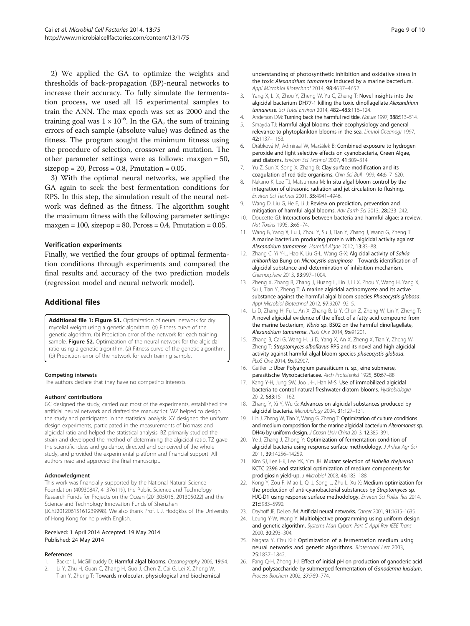<span id="page-8-0"></span>2) We applied the GA to optimize the weights and thresholds of back-propagation (BP)-neural networks to increase their accuracy. To fully simulate the fermentation process, we used all 15 experimental samples to train the ANN. The max epoch was set as 2000 and the training goal was  $1 \times 10^{-6}$ . In the GA, the sum of training errors of each sample (absolute value) was defined as the fitness. The program sought the minimum fitness using the procedure of selection, crossover and mutation. The other parameter settings were as follows: maxgen = 50,  $sizepop = 20$ ,  $Process = 0.8$ ,  $Pmutation = 0.05$ .

3) With the optimal neural networks, we applied the GA again to seek the best fermentation conditions for RPS. In this step, the simulation result of the neural network was defined as the fitness. The algorithm sought the maximum fitness with the following parameter settings: maxgen =  $100$ , sizepop =  $80$ , Pcross =  $0.4$ , Pmutation =  $0.05$ .

#### Verification experiments

Finally, we verified the four groups of optimal fermentation conditions through experiments and compared the final results and accuracy of the two prediction models (regression model and neural network model).

## Additional files

[Additional file 1: Figure S1.](http://www.biomedcentral.com/content/supplementary/1475-2859-13-75-S1.docx) Optimization of neural network for dry mycelial weight using a genetic algorithm. (a) Fitness curve of the genetic algorithm. (b) Prediction error of the network for each training sample. Figure S2. Optimization of the neural network for the algicidal ratio using a genetic algorithm. (a) Fitness curve of the genetic algorithm. (b) Prediction error of the network for each training sample.

#### Competing interests

The authors declare that they have no competing interests.

#### Authors' contributions

GC designed the study, carried out most of the experiments, established the artificial neural network and drafted the manuscript. WZ helped to design the study and participated in the statistical analysis. XY designed the uniform design experiments, participated in the measurements of biomass and algicidal ratio and helped the statistical analysis. BZ primarily studied the strain and developed the method of determining the algicidal ratio. TZ gave the scientific ideas and guidance, directed and conceived of the whole study, and provided the experimental platform and financial support. All authors read and approved the final manuscript.

#### Acknowledgment

This work was financially supported by the National Natural Science Foundation (40930847, 41376119), the Public Science and Technology Research Funds for Projects on the Ocean (201305016, 201305022) and the Science and Technology Innovation Funds of Shenzhen (JCYJ20120615161239998). We also thank Prof. I. J. Hodgkiss of The University of Hong Kong for help with English.

#### Received: 1 April 2014 Accepted: 19 May 2014 Published: 24 May 2014

#### References

- Backer L, McGillicuddy D: Harmful algal blooms. Oceanography 2006, 19:94.
- 2. Li Y, Zhu H, Guan C, Zhang H, Guo J, Chen Z, Cai G, Lei X, Zheng W, Tian Y, Zheng T: Towards molecular, physiological and biochemical

understanding of photosynthetic inhibition and oxidative stress in the toxic Alexandrium tamarense induced by a marine bacterium. Appl Microbiol Biotechnol 2014, 98:4637–4652.

- 3. Yang X, Li X, Zhou Y, Zheng W, Yu C, Zheng T: Novel insights into the algicidal bacterium DH77-1 killing the toxic dinoflagellate Alexandrium tamarense. Sci Total Environ 2014, 482–483:116–124.
- 4. Anderson DM: Turning back the harmful red tide. Nature 1997, 388:513-514.
- 5. Smayda TJ: Harmful algal blooms: their ecophysiology and general relevance to phytoplankton blooms in the sea. Limnol Oceanogr 1997, 42:1137–1153.
- 6. Drábková M, Admiraal W, Maršálek B: Combined exposure to hydrogen peroxide and light selective effects on cyanobacteria, Green Algae, and diatoms. Environ Sci Technol 2007, 41:309–314.
- 7. Yu Z, Sun X, Song X, Zhang B: Clay surface modification and its coagulation of red tide organisms. Chin Sci Bull 1999, 44:617–620.
- 8. Nakano K, Lee TJ, Matsumura M: In situ algal bloom control by the integration of ultrasonic radiation and jet circulation to flushing. Environ Sci Technol 2001, 35:4941–4946.
- 9. Wang D, Liu G, He E, Li J: Review on prediction, prevention and mitigation of harmful algal blooms. Adv Earth Sci 2013, 28:233–242.
- 10. Doucette GJ: Interactions between bacteria and harmful algae: a review. Nat Toxins 1995, 3:65-74.
- 11. Wang B, Yang X, Lu J, Zhou Y, Su J, Tian Y, Zhang J, Wang G, Zheng T: A marine bacterium producing protein with algicidal activity against Alexandrium tamarense. Harmful Algae 2012, 13:83–88.
- 12. Zhang C, Yi Y-L, Hao K, Liu G-L, Wang G-X: Algicidal activity of Salvia miltiorrhiza Bung on Microcystis aeruginosa—Towards identification of algicidal substance and determination of inhibition mechanism. Chemosphere 2013, 93:997-1004.
- 13. Zheng X, Zhang B, Zhang J, Huang L, Lin J, Li X, Zhou Y, Wang H, Yang X, Su J, Tian Y, Zheng T: A marine algicidal actinomycete and its active substance against the harmful algal bloom species Phaeocystis globosa. Appl Microbiol Biotechnol 2012, 97:9207–9215.
- 14. Li D, Zhang H, Fu L, An X, Zhang B, Li Y, Chen Z, Zheng W, Lin Y, Zheng T: A novel algicidal evidence of the effect of a fatty acid compound from the marine bacterium, Vibrio sp. BS02 on the harmful dinoflagellate, Alexandrium tamarense. PLoS One 2014, 9:e91201.
- 15. Zhang B, Cai G, Wang H, Li D, Yang X, An X, Zheng X, Tian Y, Zheng W, Zheng T: Streptomyces alboflavus RPS and its novel and high algicidal activity against harmful algal bloom species phaeocystis globosa. PLoS One 2014, 9:e92907.
- 16. Geitler L: Uber Polyangium parasiticum n. sp., eine submerse, parasitische Myxobacteriacee. Arch Protistenkd 1925, 50:67–88.
- 17. Kang Y-H, Jung SW, Joo J-H, Han M-S: Use of immobilized algicidal bacteria to control natural freshwater diatom blooms. Hydrobiologia 2012, 683:151–162.
- 18. Zhang Y, Xi Y, Wu G: Advances on algicidal substances produced by algicidal bacteria. Microbiology 2004, 31:127–131.
- 19. Lin J, Zheng W, Tian Y, Wang G, Zheng T: Optimization of culture conditions and medium composition for the marine algicidal bacterium Alteromonas sp. DH46 by uniform design. J Ocean Univ China 2013, 12:385-391.
- 20. Ye J, Zhang J, Zhong Y: Optimization of fermentation condition of algicidal bacteria using response surface methodology. J Anhui Agr Sci 2011, 39:14256–14259.
- 21. Kim SJ, Lee HK, Lee YK, Yim JH: Mutant selection of Hahella chejuensis KCTC 2396 and statistical optimization of medium components for prodigiosin yield-up. J Microbiol 2008, 46:183–188.
- 22. Kong Y, Zou P, Miao L, Qi J, Song L, Zhu L, Xu X: Medium optimization for the production of anti-cyanobacterial substances by Streptomyces sp. HJC-D1 using response surface methodology. Environ Sci Pollut Res 2014, 21:5983–5990.
- 23. Dayhoff JE, DeLeo JM: Artificial neural networks. Cancer 2001, 91:1615-1635.
- 24. Leung Y-W, Wang Y: Multiobjective programming using uniform design and genetic algorithm. Systems Man Cybern Part C Appl Rev IEEE Trans 2000, 30:293–304.
- 25. Nagata Y, Chu KH: Optimization of a fermentation medium using neural networks and genetic algorithms. Biotechnol Lett 2003, 25:1837–1842.
- 26. Fang Q-H, Zhong J-J: Effect of initial pH on production of ganoderic acid and polysaccharide by submerged fermentation of Ganoderma lucidum. Process Biochem 2002, 37:769–774.